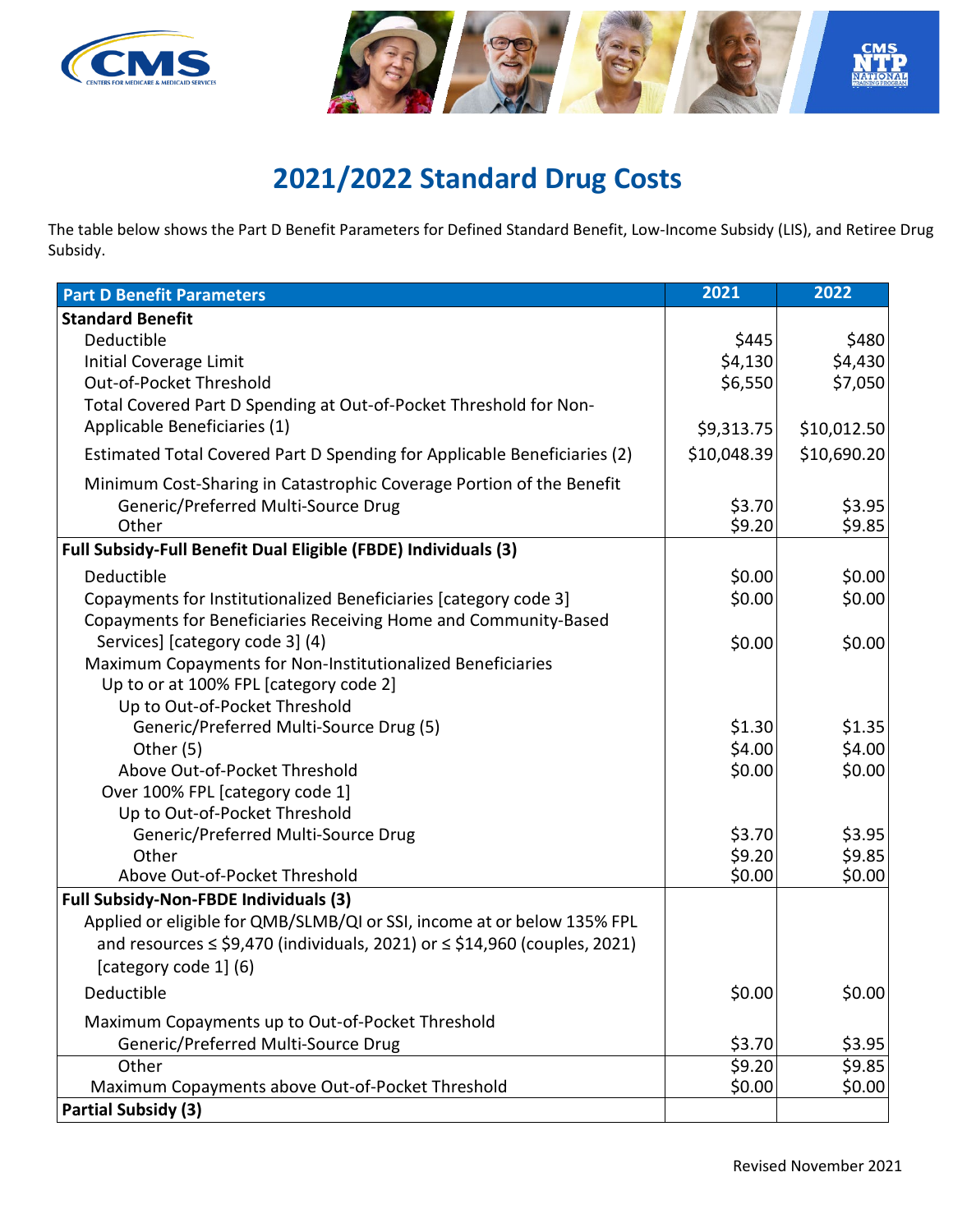



## **2021/2022 Standard Drug Costs**

The table below shows the Part D Benefit Parameters for Defined Standard Benefit, Low-Income Subsidy (LIS), and Retiree Drug Subsidy.

| <b>Part D Benefit Parameters</b>                                                  | 2021        | 2022        |
|-----------------------------------------------------------------------------------|-------------|-------------|
| <b>Standard Benefit</b>                                                           |             |             |
| Deductible                                                                        | \$445       | \$480       |
| Initial Coverage Limit                                                            | \$4,130     | \$4,430     |
| Out-of-Pocket Threshold                                                           | \$6,550     | \$7,050     |
| Total Covered Part D Spending at Out-of-Pocket Threshold for Non-                 |             |             |
| Applicable Beneficiaries (1)                                                      | \$9,313.75  | \$10,012.50 |
| Estimated Total Covered Part D Spending for Applicable Beneficiaries (2)          | \$10,048.39 | \$10,690.20 |
| Minimum Cost-Sharing in Catastrophic Coverage Portion of the Benefit              |             |             |
| Generic/Preferred Multi-Source Drug                                               | \$3.70      | \$3.95      |
| Other                                                                             | \$9.20      | \$9.85      |
| Full Subsidy-Full Benefit Dual Eligible (FBDE) Individuals (3)                    |             |             |
| Deductible                                                                        | \$0.00      | \$0.00      |
| Copayments for Institutionalized Beneficiaries [category code 3]                  | \$0.00      | \$0.00      |
| Copayments for Beneficiaries Receiving Home and Community-Based                   |             |             |
| Services] [category code 3] (4)                                                   | \$0.00      | \$0.00      |
| Maximum Copayments for Non-Institutionalized Beneficiaries                        |             |             |
| Up to or at 100% FPL [category code 2]                                            |             |             |
| Up to Out-of-Pocket Threshold                                                     |             |             |
| Generic/Preferred Multi-Source Drug (5)                                           | \$1.30      | \$1.35      |
| Other (5)                                                                         | \$4.00      | \$4.00      |
| Above Out-of-Pocket Threshold                                                     | \$0.00      | \$0.00      |
| Over 100% FPL [category code 1]                                                   |             |             |
| Up to Out-of-Pocket Threshold                                                     |             |             |
| Generic/Preferred Multi-Source Drug                                               | \$3.70      | \$3.95      |
| Other                                                                             | \$9.20      | \$9.85      |
| Above Out-of-Pocket Threshold                                                     | \$0.00      | \$0.00      |
| <b>Full Subsidy-Non-FBDE Individuals (3)</b>                                      |             |             |
| Applied or eligible for QMB/SLMB/QI or SSI, income at or below 135% FPL           |             |             |
| and resources $\le$ \$9,470 (individuals, 2021) or $\le$ \$14,960 (couples, 2021) |             |             |
| [category code 1] (6)                                                             |             |             |
| Deductible                                                                        | \$0.00      | \$0.00      |
| Maximum Copayments up to Out-of-Pocket Threshold                                  |             |             |
| Generic/Preferred Multi-Source Drug                                               | \$3.70      | \$3.95      |
| Other                                                                             | \$9.20      | \$9.85      |
| Maximum Copayments above Out-of-Pocket Threshold                                  | \$0.00      | \$0.00      |
| <b>Partial Subsidy (3)</b>                                                        |             |             |